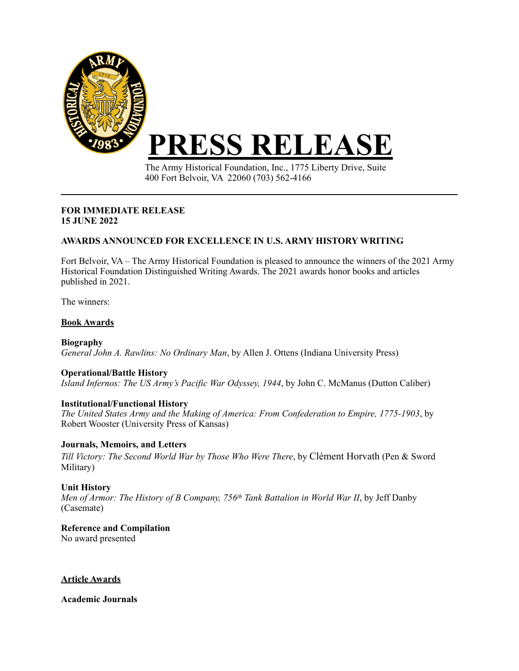

The Army Historical Foundation, Inc., 1775 Liberty Drive, Suite 400 Fort Belvoir, VA 22060 (703) 562-4166

#### **FOR IMMEDIATE RELEASE 15 JUNE 2022**

# **AWARDS ANNOUNCED FOR EXCELLENCE IN U.S. ARMY HISTORY WRITING**

Fort Belvoir, VA – The Army Historical Foundation is pleased to announce the winners of the 2021 Army Historical Foundation Distinguished Writing Awards. The 2021 awards honor books and articles published in 2021.

The winners:

## **Book Awards**

**Biography** *General John A. Rawlins: No Ordinary Man*, by Allen J. Ottens (Indiana University Press)

## **Operational/Battle History**

*Island Infernos: The US Army's Pacific War Odyssey, 1944*, by John C. McManus (Dutton Caliber)

## **Institutional/Functional History**

*The United States Army and the Making of America: From Confederation to Empire, 1775-1903*, by Robert Wooster (University Press of Kansas)

## **Journals, Memoirs, and Letters**

*Till Victory: The Second World War by Those Who Were There*, by Clément Horvath (Pen & Sword Military)

## **Unit History**

*Men of Armor: The History of B Company, 756<sup>th</sup> Tank Battalion in World War II*, by Jeff Danby (Casemate)

**Reference and Compilation** No award presented

#### **Article Awards**

**Academic Journals**